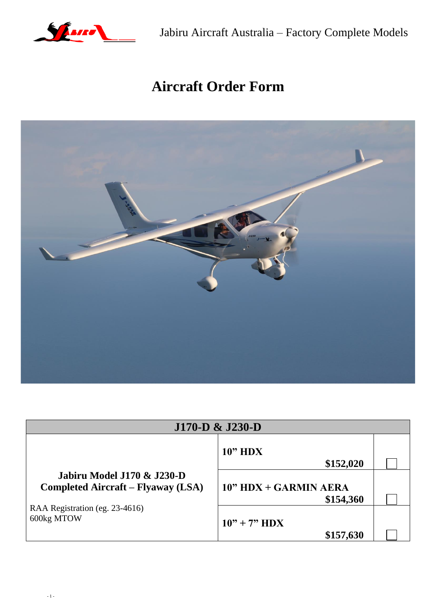

Jabiru Aircraft Australia – Factory Complete Models

# **Aircraft Order Form**



|                                                                         | $J170-D \& J230-D$                 |  |
|-------------------------------------------------------------------------|------------------------------------|--|
|                                                                         | 10" HDX<br>\$152,020               |  |
| Jabiru Model J170 & J230-D<br><b>Completed Aircraft – Flyaway (LSA)</b> | 10" HDX + GARMIN AERA<br>\$154,360 |  |
| RAA Registration (eg. 23-4616)<br>600kg MTOW                            | $10" + 7" HDX$<br>\$157,630        |  |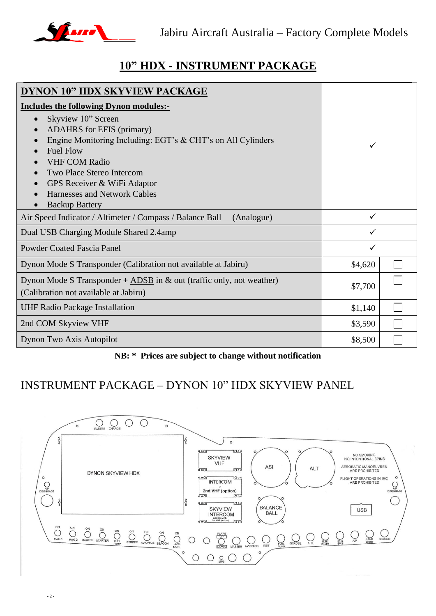

## **10" HDX - INSTRUMENT PACKAGE**

| DYNON 10" HDX SKYVIEW PACKAGE                                                                                                                                                                                                                                                                                                        |              |  |
|--------------------------------------------------------------------------------------------------------------------------------------------------------------------------------------------------------------------------------------------------------------------------------------------------------------------------------------|--------------|--|
| <b>Includes the following Dynon modules:-</b>                                                                                                                                                                                                                                                                                        |              |  |
| Skyview 10" Screen<br>$\bullet$<br><b>ADAHRS</b> for EFIS (primary)<br>Engine Monitoring Including: EGT's & CHT's on All Cylinders<br><b>Fuel Flow</b><br><b>VHF COM Radio</b><br>Two Place Stereo Intercom<br>GPS Receiver & WiFi Adaptor<br>$\bullet$<br><b>Harnesses and Network Cables</b><br><b>Backup Battery</b><br>$\bullet$ | ✓            |  |
| Air Speed Indicator / Altimeter / Compass / Balance Ball<br>(Analogue)                                                                                                                                                                                                                                                               | $\checkmark$ |  |
| Dual USB Charging Module Shared 2.4amp                                                                                                                                                                                                                                                                                               | ✓            |  |
| <b>Powder Coated Fascia Panel</b>                                                                                                                                                                                                                                                                                                    | ✓            |  |
| Dynon Mode S Transponder (Calibration not available at Jabiru)                                                                                                                                                                                                                                                                       | \$4,620      |  |
| Dynon Mode S Transponder + ADSB in $\&$ out (traffic only, not weather)<br>(Calibration not available at Jabiru)                                                                                                                                                                                                                     | \$7,700      |  |
| <b>UHF Radio Package Installation</b>                                                                                                                                                                                                                                                                                                | \$1,140      |  |
| 2nd COM Skyview VHF                                                                                                                                                                                                                                                                                                                  | \$3,590      |  |
| Dynon Two Axis Autopilot                                                                                                                                                                                                                                                                                                             | \$8,500      |  |

#### **NB: \* Prices are subject to change without notification**

### INSTRUMENT PACKAGE – DYNON 10" HDX SKYVIEW PANEL

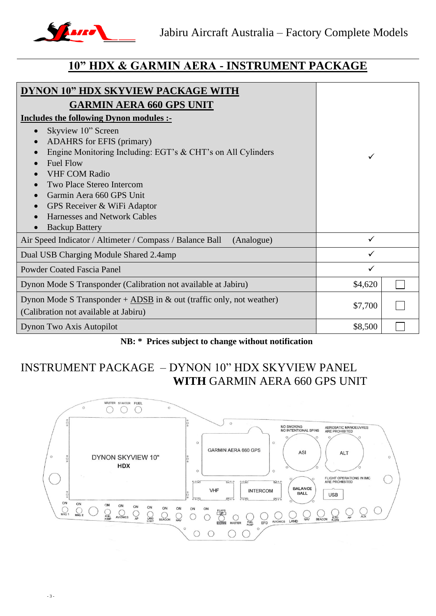

### **10" HDX & GARMIN AERA - INSTRUMENT PACKAGE**

| <b>DYNON 10" HDX SKYVIEW PACKAGE WITH</b>                                                                                                                                                                                                                                                                                                                                           |         |  |
|-------------------------------------------------------------------------------------------------------------------------------------------------------------------------------------------------------------------------------------------------------------------------------------------------------------------------------------------------------------------------------------|---------|--|
| <b>GARMIN AERA 660 GPS UNIT</b>                                                                                                                                                                                                                                                                                                                                                     |         |  |
| Includes the following Dynon modules :-                                                                                                                                                                                                                                                                                                                                             |         |  |
| Skyview 10" Screen<br>$\bullet$<br><b>ADAHRS</b> for EFIS (primary)<br>$\bullet$<br>Engine Monitoring Including: EGT's & CHT's on All Cylinders<br>$\bullet$<br><b>Fuel Flow</b><br><b>VHF COM Radio</b><br>Two Place Stereo Intercom<br>Garmin Aera 660 GPS Unit<br>$\bullet$<br>GPS Receiver & WiFi Adaptor<br>$\bullet$<br>Harnesses and Network Cables<br><b>Backup Battery</b> |         |  |
| Air Speed Indicator / Altimeter / Compass / Balance Ball<br>(Analogue)                                                                                                                                                                                                                                                                                                              |         |  |
| Dual USB Charging Module Shared 2.4amp                                                                                                                                                                                                                                                                                                                                              |         |  |
| <b>Powder Coated Fascia Panel</b>                                                                                                                                                                                                                                                                                                                                                   | ✓       |  |
| Dynon Mode S Transponder (Calibration not available at Jabiru)                                                                                                                                                                                                                                                                                                                      | \$4,620 |  |
| Dynon Mode S Transponder $+\underline{ADSB}$ in & out (traffic only, not weather)<br>(Calibration not available at Jabiru)                                                                                                                                                                                                                                                          | \$7,700 |  |
| Dynon Two Axis Autopilot                                                                                                                                                                                                                                                                                                                                                            | \$8,500 |  |

#### **NB: \* Prices subject to change without notification**

## INSTRUMENT PACKAGE – DYNON 10" HDX SKYVIEW PANEL **WITH** GARMIN AERA 660 GPS UNIT

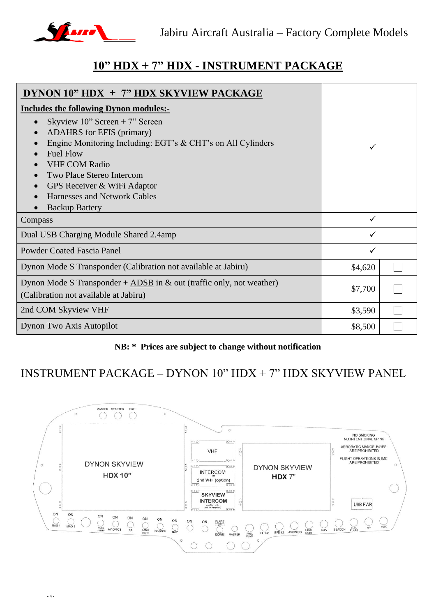

### **10" HDX + 7" HDX - INSTRUMENT PACKAGE**

| DYNON $10"$ HDX $+ 7"$ HDX SKYVIEW PACKAGE                                      |              |  |
|---------------------------------------------------------------------------------|--------------|--|
| <b>Includes the following Dynon modules:-</b>                                   |              |  |
| Skyview $10$ " Screen + 7" Screen<br>$\bullet$                                  |              |  |
| <b>ADAHRS</b> for EFIS (primary)<br>$\bullet$                                   |              |  |
| Engine Monitoring Including: EGT's & CHT's on All Cylinders                     | ✓            |  |
| <b>Fuel Flow</b><br>$\bullet$                                                   |              |  |
| <b>VHF COM Radio</b>                                                            |              |  |
| Two Place Stereo Intercom                                                       |              |  |
| GPS Receiver & WiFi Adaptor<br>$\bullet$                                        |              |  |
| Harnesses and Network Cables<br>$\bullet$                                       |              |  |
| <b>Backup Battery</b>                                                           |              |  |
| Compass                                                                         | $\checkmark$ |  |
| Dual USB Charging Module Shared 2.4amp                                          | $\checkmark$ |  |
| <b>Powder Coated Fascia Panel</b>                                               | ✓            |  |
| Dynon Mode S Transponder (Calibration not available at Jabiru)                  | \$4,620      |  |
| Dynon Mode S Transponder + $\triangle DSB$ in & out (traffic only, not weather) |              |  |
| (Calibration not available at Jabiru)                                           | \$7,700      |  |
| 2nd COM Skyview VHF                                                             | \$3,590      |  |
| Dynon Two Axis Autopilot                                                        | \$8,500      |  |

#### **NB: \* Prices are subject to change without notification**

### INSTRUMENT PACKAGE – DYNON 10" HDX + 7" HDX SKYVIEW PANEL

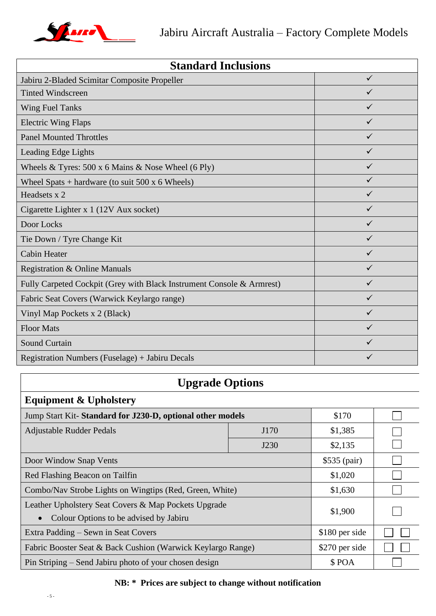

| <b>Standard Inclusions</b>                                            |              |  |
|-----------------------------------------------------------------------|--------------|--|
| Jabiru 2-Bladed Scimitar Composite Propeller                          | $\checkmark$ |  |
| <b>Tinted Windscreen</b>                                              | ✓            |  |
| <b>Wing Fuel Tanks</b>                                                | ✓            |  |
| <b>Electric Wing Flaps</b>                                            | $\checkmark$ |  |
| <b>Panel Mounted Throttles</b>                                        | ✓            |  |
| Leading Edge Lights                                                   | ✓            |  |
| Wheels & Tyres: $500 \times 6$ Mains & Nose Wheel (6 Ply)             | ✓            |  |
| Wheel Spats + hardware (to suit $500 \times 6$ Wheels)                | $\checkmark$ |  |
| Headsets x 2                                                          | ✓            |  |
| Cigarette Lighter x 1 (12V Aux socket)                                | ✓            |  |
| Door Locks                                                            | ✓            |  |
| Tie Down / Tyre Change Kit                                            | ✓            |  |
| <b>Cabin Heater</b>                                                   | $\checkmark$ |  |
| Registration & Online Manuals                                         | $\checkmark$ |  |
| Fully Carpeted Cockpit (Grey with Black Instrument Console & Armrest) | ✓            |  |
| Fabric Seat Covers (Warwick Keylargo range)                           | ✓            |  |
| Vinyl Map Pockets x 2 (Black)                                         | ✓            |  |
| <b>Floor Mats</b>                                                     | ✓            |  |
| <b>Sound Curtain</b>                                                  | $\checkmark$ |  |
| Registration Numbers (Fuselage) + Jabiru Decals                       | ✓            |  |

# **Upgrade Options**

# **Equipment & Upholstery**

| Jump Start Kit-Standard for J230-D, optional other models                                                   |         | \$170          |  |
|-------------------------------------------------------------------------------------------------------------|---------|----------------|--|
| <b>Adjustable Rudder Pedals</b>                                                                             | J170    |                |  |
|                                                                                                             | J230    | \$2,135        |  |
| Door Window Snap Vents                                                                                      |         | $$535$ (pair)  |  |
| Red Flashing Beacon on Tailfin                                                                              |         | \$1,020        |  |
| Combo/Nav Strobe Lights on Wingtips (Red, Green, White)                                                     |         | \$1,630        |  |
| Leather Upholstery Seat Covers & Map Pockets Upgrade<br>Colour Options to be advised by Jabiru<br>$\bullet$ | \$1,900 |                |  |
| Extra Padding – Sewn in Seat Covers                                                                         |         | \$180 per side |  |
| Fabric Booster Seat & Back Cushion (Warwick Keylargo Range)                                                 |         | \$270 per side |  |
| Pin Striping – Send Jabiru photo of your chosen design                                                      |         | \$POA          |  |

#### **NB: \* Prices are subject to change without notification**